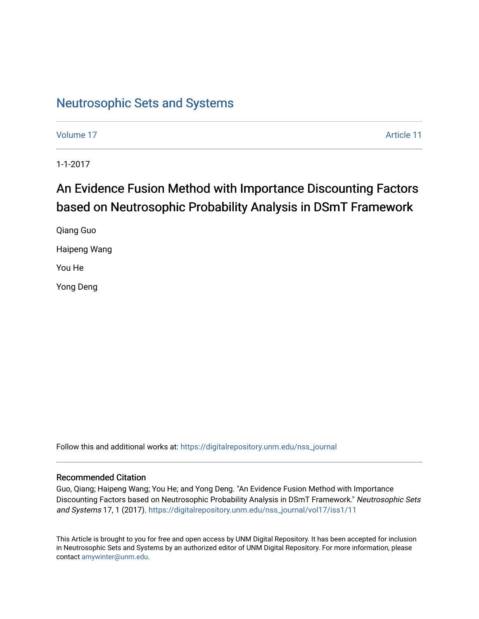### [Neutrosophic Sets and Systems](https://digitalrepository.unm.edu/nss_journal)

[Volume 17](https://digitalrepository.unm.edu/nss_journal/vol17) Article 11

1-1-2017

## An Evidence Fusion Method with Importance Discounting Factors based on Neutrosophic Probability Analysis in DSmT Framework

Qiang Guo Haipeng Wang You He Yong Deng

Follow this and additional works at: [https://digitalrepository.unm.edu/nss\\_journal](https://digitalrepository.unm.edu/nss_journal?utm_source=digitalrepository.unm.edu%2Fnss_journal%2Fvol17%2Fiss1%2F11&utm_medium=PDF&utm_campaign=PDFCoverPages) 

#### Recommended Citation

Guo, Qiang; Haipeng Wang; You He; and Yong Deng. "An Evidence Fusion Method with Importance Discounting Factors based on Neutrosophic Probability Analysis in DSmT Framework." Neutrosophic Sets and Systems 17, 1 (2017). [https://digitalrepository.unm.edu/nss\\_journal/vol17/iss1/11](https://digitalrepository.unm.edu/nss_journal/vol17/iss1/11?utm_source=digitalrepository.unm.edu%2Fnss_journal%2Fvol17%2Fiss1%2F11&utm_medium=PDF&utm_campaign=PDFCoverPages)

This Article is brought to you for free and open access by UNM Digital Repository. It has been accepted for inclusion in Neutrosophic Sets and Systems by an authorized editor of UNM Digital Repository. For more information, please contact [amywinter@unm.edu](mailto:amywinter@unm.edu).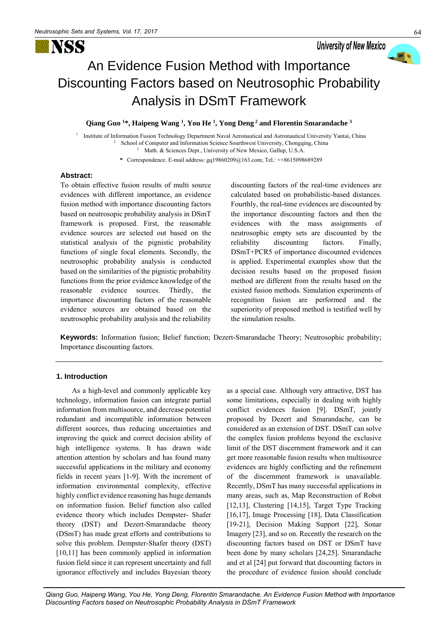

# An Evidence Fusion Method with Importance Discounting Factors based on Neutrosophic Probability Analysis in DSmT Framework

#### **Qiang Guo <sup>1</sup>\*, Haipeng Wang <sup>1</sup> , You He <sup>1</sup> , Yong Deng<sup>2</sup> and Florentin Smarandache <sup>3</sup>**

<sup>1</sup> Institute of Information Fusion Technology Department Naval Aeronautical and Astronautical University Yantai, China School of Computer and Information Science Sourthwest University, Chongqing, China <sup>3</sup> Math. & Sciences Dept., University of New Mexico, Gallup, U.S.A.

**\*** Correspondence. E-mail address: gq19860209@163.com; Tel.: ++8615098689289

#### **Abstract:**

To obtain effective fusion results of multi source evidences with different importance, an evidence fusion method with importance discounting factors based on neutrosopic probability analysis in DSmT framework is proposed. First, the reasonable evidence sources are selected out based on the statistical analysis of the pignistic probability functions of single focal elements. Secondly, the neutrosophic probability analysis is conducted based on the similarities of the pignistic probability functions from the prior evidence knowledge of the reasonable evidence sources. Thirdly, the importance discounting factors of the reasonable evidence sources are obtained based on the neutrosophic probability analysis and the reliability discounting factors of the real-time evidences are calculated based on probabilistic-based distances. Fourthly, the real-time evidences are discounted by the importance discounting factors and then the evidences with the mass assignments of neutrosophic empty sets are discounted by the reliability discounting factors. Finally, DSmT+PCR5 of importance discounted evidences is applied. Experimental examples show that the decision results based on the proposed fusion method are different from the results based on the existed fusion methods. Simulation experiments of recognition fusion are performed and the superiority of proposed method is testified well by the simulation results.

**Keywords:** Information fusion; Belief function; Dezert-Smarandache Theory; Neutrosophic probability; Importance discounting factors.

#### **1. Introduction**

As a high-level and commonly applicable key technology, information fusion can integrate partial information from multisource, and decrease potential redundant and incompatible information between different sources, thus reducing uncertainties and improving the quick and correct decision ability of high intelligence systems. It has drawn wide attention attention by scholars and has found many successful applications in the military and economy fields in recent years [1-9]. With the increment of information environmental complexity, effective highly conflict evidence reasoning has huge demands on information fusion. Belief function also called evidence theory which includes Dempster- Shafer theory (DST) and Dezert-Smarandache theory (DSmT) has made great efforts and contributions to solve this problem. Dempster-Shafer theory (DST) [10,11] has been commonly applied in information fusion field since it can represent uncertainty and full ignorance effectively and includes Bayesian theory

as a special case. Although very attractive, DST has some limitations, especially in dealing with highly conflict evidences fusion [9]. DSmT, jointly proposed by Dezert and Smarandache, can be considered as an extension of DST. DSmT can solve the complex fusion problems beyond the exclusive limit of the DST discernment framework and it can get more reasonable fusion results when multisource evidences are highly conflicting and the refinement of the discernment framework is unavailable. Recently, DSmT has many successful applications in many areas, such as, Map Reconstruction of Robot [12,13], Clustering [14,15], Target Type Tracking [16,17], Image Processing [18], Data Classification [19-21], Decision Making Support [22], Sonar Imagery [23], and so on. Recently the research on the discounting factors based on DST or DSmT have been done by many scholars [24,25]. Smarandache and et al [24] put forward that discounting factors in the procedure of evidence fusion should conclude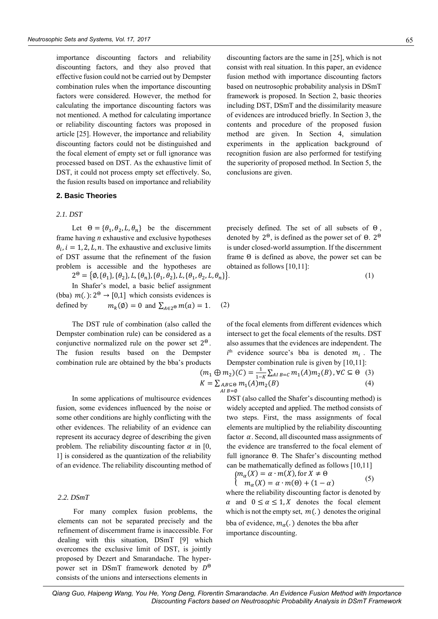importance discounting factors and reliability discounting factors, and they also proved that effective fusion could not be carried out by Dempster combination rules when the importance discounting factors were considered. However, the method for calculating the importance discounting factors was not mentioned. A method for calculating importance or reliability discounting factors was proposed in article [25]. However, the importance and reliability discounting factors could not be distinguished and the focal element of empty set or full ignorance was processed based on DST. As the exhaustive limit of DST, it could not process empty set effectively. So, the fusion results based on importance and reliability

#### **2. Basic Theories**

#### *2.1. DST*

Let  $\Theta = {\theta_1, \theta_2, L, \theta_n}$  be the discernment frame having *n* exhaustive and exclusive hypotheses  $\theta_i$ ,  $i = 1, 2, L, n$ . The exhaustive and exclusive limits of DST assume that the refinement of the fusion problem is accessible and the hypotheses are

 $2^{\Theta} = \{\emptyset, \{\theta_1\}, \{\theta_2\}, L, \{\theta_n\}, \{\theta_1, \theta_2\}, L, \{\theta_1, \theta_2, L, \theta_n\}$ 

In Shafer's model, a basic belief assignment (bba)  $m(.)$ :  $2^{\Theta} \rightarrow [0,1]$  which consists evidences is defined by  $m_k(\emptyset) = 0$  and  $\sum_{A \in 2^{\Theta}} m(a) = 1$ . (2)

The DST rule of combination (also called the Dempster combination rule) can be considered as a conjunctive normalized rule on the power set  $2^{\Theta}$ . The fusion results based on the Dempster combination rule are obtained by the bba's products

In some applications of multisource evidences fusion, some evidences influenced by the noise or some other conditions are highly conflicting with the other evidences. The reliability of an evidence can represent its accuracy degree of describing the given problem. The reliability discounting factor  $\alpha$  in [0, 1] is considered as the quantization of the reliability of an evidence. The reliability discounting method of

#### *2.2. DSmT*

For many complex fusion problems, the elements can not be separated precisely and the refinement of discernment frame is inaccessible. For dealing with this situation, DSmT [9] which overcomes the exclusive limit of DST, is jointly proposed by Dezert and Smarandache. The hyperpower set in DSmT framework denoted by Θ consists of the unions and intersections elements in

discounting factors are the same in [25], which is not consist with real situation. In this paper, an evidence fusion method with importance discounting factors based on neutrosophic probability analysis in DSmT framework is proposed. In Section 2, basic theories including DST, DSmT and the dissimilarity measure of evidences are introduced briefly. In Section 3, the contents and procedure of the proposed fusion method are given. In Section 4, simulation experiments in the application background of recognition fusion are also performed for testifying the superiority of proposed method. In Section 5, the conclusions are given.

precisely defined. The set of all subsets of Θ , denoted by  $2^{\Theta}$ , is defined as the power set of  $\Theta$ .  $2^{\Theta}$ is under closed-world assumption. If the discernment frame Θ is defined as above, the power set can be obtained as follows [10,11]:

$$
\}.
$$
 (1)

of the focal elements from different evidences which intersect to get the focal elements of the results. DST also assumes that the evidences are independent. The  $i<sup>th</sup>$  evidence source's bba is denoted  $m<sub>i</sub>$ . The Dempster combination rule is given by [10,11]:

$$
(m_1 \oplus m_2)(C) = \frac{1}{1-K} \sum_{AI \ B = C} m_1(A) m_2(B), \forall C \subseteq \Theta
$$
 (3)  

$$
K = \sum_{AI \ B = \emptyset} m_1(A) m_2(B)
$$
 (4)

DST (also called the Shafer's discounting method) is widely accepted and applied. The method consists of two steps. First, the mass assignments of focal elements are multiplied by the reliability discounting factor  $\alpha$ . Second, all discounted mass assignments of the evidence are transferred to the focal element of full ignorance Θ. The Shafer's discounting method can be mathematically defined as follows [10,11]

$$
\begin{cases} m_{\alpha}(X) = \alpha \cdot m(X), \text{for } X \neq \theta \\ m_{\alpha}(X) = \alpha \cdot m(\Theta) + (1 - \alpha) \end{cases} \tag{5}
$$

where the reliability discounting factor is denoted by  $\alpha$  and  $0 \le \alpha \le 1, X$  denotes the focal element which is not the empty set,  $m(.)$  denotes the original bba of evidence,  $m_{\alpha}$ (.) denotes the bba after importance discounting.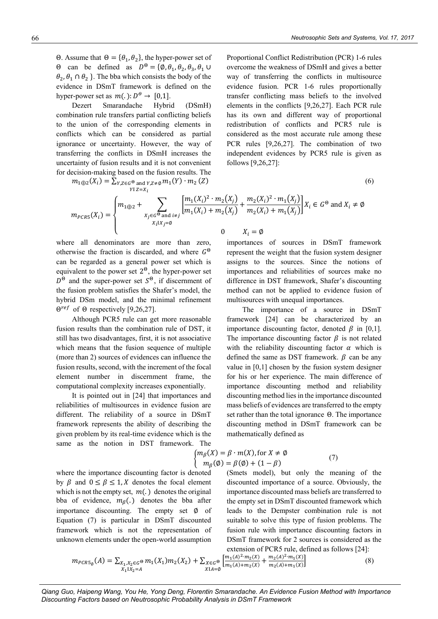Θ. Assume that  $Θ = \{θ_1, θ_2\}$ , the hyper-power set of  $\Theta$  can be defined as  $D^{\Theta} = {\emptyset, \theta_1, \theta_2, \theta_3, \theta_1 \cup \emptyset}$  $\theta_2$ ,  $\theta_1 \cap \theta_2$  }. The bba which consists the body of the evidence in DSmT framework is defined on the hyper-power set as  $m(.): D^{\Theta} \rightarrow [0,1].$ 

Dezert Smarandache Hybrid (DSmH) combination rule transfers partial conflicting beliefs to the union of the corresponding elements in conflicts which can be considered as partial ignorance or uncertainty. However, the way of transferring the conflicts in DSmH increases the uncertainty of fusion results and it is not convenient for decision-making based on the fusion results. The

$$
m_{1\oplus 2}(X_i) = \sum_{\substack{Y, Z \in G^{\Theta} \text{ and } Y, Z \neq \emptyset}} m_1(Y) \cdot m_2(Z)
$$
\n
$$
(6)
$$

Proportional Conflict Redistribution (PCR) 1-6 rules overcome the weakness of DSmH and gives a better way of transferring the conflicts in multisource evidence fusion. PCR 1-6 rules proportionally transfer conflicting mass beliefs to the involved elements in the conflicts [9,26,27]. Each PCR rule has its own and different way of proportional redistribution of conflicts and PCR5 rule is considered as the most accurate rule among these PCR rules [9,26,27]. The combination of two independent evidences by PCR5 rule is given as follows [9,26,27]:

$$
(6)
$$

$$
m_{PCRS}(X_i) = \begin{cases} m_{1 \oplus 2} + \sum_{X_j \in G^{\Theta} \text{ and } i \neq j} \left[ \frac{m_1(X_i)^2 \cdot m_2(X_j)}{m_1(X_i) + m_2(X_j)} + \frac{m_2(X_i)^2 \cdot m_1(X_j)}{m_2(X_i) + m_1(X_j)} \right] X_i \in G^{\Theta} \text{ and } X_i \neq \emptyset \\ 0 \qquad X_i = \emptyset \end{cases}
$$

where all denominators are more than zero, otherwise the fraction is discarded, and where  $G^{\Theta}$ can be regarded as a general power set which is equivalent to the power set  $2^{\Theta}$ , the hyper-power set  $D^{\Theta}$  and the super-power set  $S^{\Theta}$ , if discernment of the fusion problem satisfies the Shafer's model, the hybrid DSm model, and the minimal refinement  $\Theta^{ref}$  of  $\Theta$  respectively [9,26,27].

Although PCR5 rule can get more reasonable fusion results than the combination rule of DST, it still has two disadvantages, first, it is not associative which means that the fusion sequence of multiple (more than 2) sources of evidences can influence the fusion results, second, with the increment of the focal element number in discernment frame, the computational complexity increases exponentially.

It is pointed out in [24] that importances and reliabilities of multisources in evidence fusion are different. The reliability of a source in DSmT framework represents the ability of describing the given problem by its real-time evidence which is the same as the notion in DST framework. The

 $X_i = \varnothing$ 

importances of sources in DSmT framework represent the weight that the fusion system designer assigns to the sources. Since the notions of importances and reliabilities of sources make no difference in DST framework, Shafer's discounting method can not be applied to evidence fusion of multisources with unequal importances.

The importance of a source in DSmT framework [24] can be characterized by an importance discounting factor, denoted  $\beta$  in [0,1]. The importance discounting factor  $\beta$  is not related with the reliability discounting factor  $\alpha$  which is defined the same as DST framework.  $\beta$  can be any value in [0,1] chosen by the fusion system designer for his or her experience. The main difference of importance discounting method and reliability discounting method lies in the importance discounted mass beliefs of evidences are transferred to the empty set rather than the total ignorance Θ. The importance discounting method in DSmT framework can be mathematically defined as

$$
m_{\beta}(X) = \beta \cdot m(X), \text{ for } X \neq \emptyset
$$
  
\n
$$
m_{\beta}(\emptyset) = \beta(\emptyset) + (1 - \beta)
$$
\n(7)

where the importance discounting factor is denoted by  $\beta$  and  $0 \le \beta \le 1$ , X denotes the focal element which is not the empty set,  $m(.)$  denotes the original bba of evidence,  $m_\beta$ . denotes the bba after importance discounting. The empty set ∅ of Equation (7) is particular in DSmT discounted framework which is not the representation of unknown elements under the open-world assumption (Smets model), but only the meaning of the discounted importance of a source. Obviously, the importance discounted mass beliefs are transferred to the empty set in DSmT discounted framework which leads to the Dempster combination rule is not suitable to solve this type of fusion problems. The fusion rule with importance discounting factors in DSmT framework for 2 sources is considered as the extension of PCR5 rule, defined as follows [24]:

$$
m_{PCRS_{\emptyset}}(A) = \sum_{\substack{X_1, X_2 \in G}} m_1(X_1) m_2(X_2) + \sum_{\substack{X \in G \\ X \mid A = \emptyset}} \left[ \frac{m_1(A)^2 \cdot m_2(X)}{m_1(A) + m_2(X)} + \frac{m_2(A)^2 \cdot m_1(X)}{m_2(A) + m_1(X)} \right] \tag{8}
$$

*Qiang Guo, Haipeng Wang, You He, Yong Deng, Florentin Smarandache. An Evidence Fusion Method with Importance Discounting Factors based on Neutrosophic Probability Analysis in DSmT Framework* 

{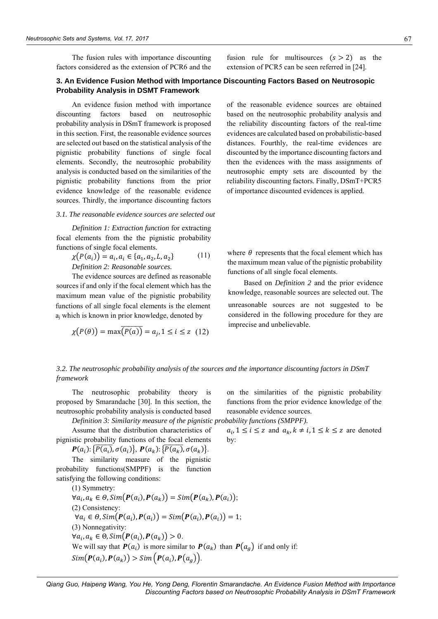The fusion rules with importance discounting factors considered as the extension of PCR6 and the

**3. An Evidence Fusion Method with Importance Discounting Factors Based on Neutrosopic Probability Analysis in DSMT Framework**

An evidence fusion method with importance discounting factors based on neutrosophic probability analysis in DSmT framework is proposed in this section. First, the reasonable evidence sources are selected out based on the statistical analysis of the pignistic probability functions of single focal elements. Secondly, the neutrosophic probability analysis is conducted based on the similarities of the pignistic probability functions from the prior evidence knowledge of the reasonable evidence sources. Thirdly, the importance discounting factors

#### *3.1. The reasonable evidence sources are selected out*

*Definition 1: Extraction function* for extracting focal elements from the the pignistic probability functions of single focal elements.

$$
\chi(P(a_i)) = a_i, a_i \in \{a_1, a_2, L, a_2\}
$$
 (11)  
Definition 2: Reasonable sources.

The evidence sources are defined as reasonable sources if and only if the focal element which has the maximum mean value of the pignistic probability functions of all single focal elements is the element a<sup>j</sup> which is known in prior knowledge, denoted by

$$
\chi(P(\theta)) = \max(\overline{P(a)} = a_j, 1 \le i \le z \quad (12)
$$

fusion rule for multisources  $(s > 2)$  as the extension of PCR5 can be seen referred in [24].

of the reasonable evidence sources are obtained based on the neutrosophic probability analysis and the reliability discounting factors of the real-time

evidences are calculated based on probabilistic-based distances. Fourthly, the real-time evidences are discounted by the importance discounting factors and then the evidences with the mass assignments of neutrosophic empty sets are discounted by the reliability discounting factors. Finally, DSmT+PCR5 of importance discounted evidences is applied.

where  $\theta$  represents that the focal element which has the maximum mean value of the pignistic probability functions of all single focal elements.

Based on *Definition 2* and the prior evidence knowledge, reasonable sources are selected out. The unreasonable sources are not suggested to be considered in the following procedure for they are imprecise and unbelievable.

on the similarities of the pignistic probability functions from the prior evidence knowledge of the

 $a_i, 1 \le i \le z$  and  $a_k, k \ne i, 1 \le k \le z$  are denoted

reasonable evidence sources.

*3.2. The neutrosophic probability analysis of the sources and the importance discounting factors in DSmT framework*

by:

The neutrosophic probability theory is proposed by Smarandache [30]. In this section, the neutrosophic probability analysis is conducted based

*Definition 3: Similarity measure of the pignistic probability functions (SMPPF).* Assume that the distribution characteristics of

pignistic probability functions of the focal elements  $P(a_i): {\overline{P(a_i)}}, \sigma(a_i) \}, P(a_k): {\overline{P(a_k)}}, \sigma(a_k) \}.$ 

The similarity measure of the pignistic probability functions(SMPPF) is the function satisfying the following conditions:

(1) Symmetry:  $\forall a_i, a_k \in \Theta, Sim(P(a_i), P(a_k)) = Sim(P(a_k), P(a_i));$ (2) Consistency:  $\forall a_i \in \Theta, Sim(P(a_i), P(a_i)) = Sim(P(a_i), P(a_i)) = 1;$ (3) Nonnegativity:  $\forall a_i, a_k \in \Theta, Sim(P(a_i), P(a_k)) > 0.$ We will say that  $P(a_i)$  is more similar to  $P(a_k)$  than  $P(a_g)$  if and only if:  $Sim(P(a_i), P(a_k)) > Sim(P(a_i), P(a_g)).$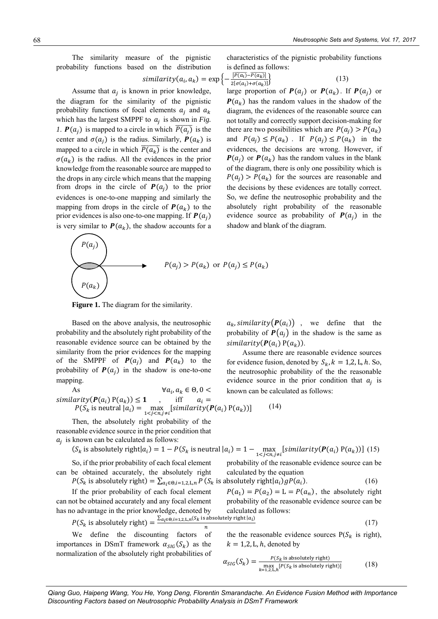The similarity measure of the pignistic probability functions based on the distribution characteristics of the pignistic probability functions is defined as follows:

$$
similarity(a_i, a_k) = \exp\left\{-\frac{|P(a_i) - P(a_k)|}{2[\sigma(a_i) + \sigma(a_k)]}\right\}
$$
\n(13)

Assume that  $a_j$  is known in prior knowledge, the diagram for the similarity of the pignistic probability functions of focal elements  $a_i$  and  $a_k$ which has the largest SMPPF to  $a_j$  is shown in *Fig. 1*.  $P(a_j)$  is mapped to a circle in which  $\overline{P(a_j)}$  is the center and  $\sigma(a_i)$  is the radius. Similarly,  $P(a_k)$  is mapped to a circle in which  $\overline{P(a_k)}$  is the center and  $\sigma(a_k)$  is the radius. All the evidences in the prior knowledge from the reasonable source are mapped to the drops in any circle which means that the mapping from drops in the circle of  $P(a_i)$  to the prior evidences is one-to-one mapping and similarly the mapping from drops in the circle of  $P(a_k)$  to the prior evidences is also one-to-one mapping. If  $P(a_i)$ is very similar to  $P(a_k)$ , the shadow accounts for a large proportion of  $P(a_j)$  or  $P(a_k)$ . If  $P(a_j)$  or  $P(a_k)$  has the random values in the shadow of the diagram, the evidences of the reasonable source can not totally and correctly support decision-making for there are two possibilities which are  $P(a_i) > P(a_k)$ and  $P(a_j) \leq P(a_k)$ . If  $P(a_j) \leq P(a_k)$  in the evidences, the decisions are wrong. However, if  $P(a_i)$  or  $P(a_k)$  has the random values in the blank of the diagram, there is only one possibility which is  $P(a_i) > P(a_k)$  for the sources are reasonable and the decisions by these evidences are totally correct. So, we define the neutrosophic probability and the absolutely right probability of the reasonable evidence source as probability of  $P(a_i)$  in the shadow and blank of the diagram.

$$
P(a_j)
$$
\n
$$
P(a_j) > P(a_k) \text{ or } P(a_j) \leq P(a_k)
$$

**Figure 1.** The diagram for the similarity.

Based on the above analysis, the neutrosophic probability and the absolutely right probability of the reasonable evidence source can be obtained by the similarity from the prior evidences for the mapping of the SMPPF of  $P(a_i)$  and  $P(a_k)$  to the probability of  $P(a_i)$  in the shadow is one-to-one mapping.

As  $\forall a_i$ 

 $a_k$ , similarity  $(P(a_i))$ , we define that the probability of  $P(a_i)$  in the shadow is the same as similarity( $P(a_i)$ ) $P(a_k)$ ).

Assume there are reasonable evidence sources for evidence fusion, denoted by  $S_k$ ,  $k = 1,2, L, h$ . So, the neutrosophic probability of the the reasonable evidence source in the prior condition that  $a_j$  is known can be calculated as follows:

similarity
$$
(P(a_i)P(a_k)) \le 1
$$
, iff  $a_i = P(S_k \text{ is neutral } |a_i) = \max_{1 \le j \le n, j \ne i} [similarity(P(a_i)P(a_k))]$  (14)

 $\forall a_i, a_k \in \Theta, 0$ 

Then, the absolutely right probability of the reasonable evidence source in the prior condition that  $a_j$  is known can be calculated as follows:

$$
(S_k \text{ is absolutely right}|a_i) = 1 - P(S_k \text{ is neutral }|a_i) = 1 - \max_{1 \leq j \leq n, j \neq i} [similarity(\mathbf{P}(a_i) P(a_k))]
$$
 (15)

So, if the prior probability of each focal element can be obtained accurately, the absolutely right

calculated by the equation  $P(S_k \text{ is absolutely right}) = \sum_{a_i \in \Theta, i=1,2,\text{L},n} P(S_k \text{ is absolutely right} | a_i) g P(a_i)$  $P(a_1) = P(a_2) = L = P(a_n)$ , the absolutely right

If the prior probability of each focal element can not be obtained accurately and any focal element has no advantage in the prior knowledge, denoted by

no advantage in the prior knowledge, denoted by calculated as follows:  
\n
$$
P(S_k \text{ is absolutely right}) = \frac{\sum_{a_i \in \Theta, i=1,2, \text{L}, n}(S_k \text{ is absolutely right}|a_i)}{n}
$$
\n(17)

 $\boldsymbol{n}$ We define the discounting factors of importances in DSmT framework  $\alpha_{SIG}(S_k)$  as the normalization of the absolutely right probabilities of

the the reasonable evidence sources  $P(S_k)$  is right),  $k = 1,2, L, h$ , denoted by

probability of the reasonable evidence source can be

probability of the reasonable evidence source can be

 $(16)$ 

$$
\alpha_{SIG}(S_k) = \frac{P(S_k \text{ is absolutely right})}{\max_{k=1,2,\text{L},h} [P(S_k \text{ is absolutely right})]}
$$
(18)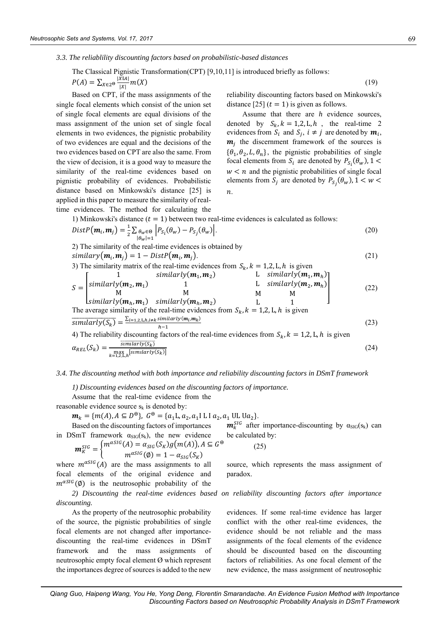*3.3. The reliablility discounting factors based on probabilistic-based distances*

The Classical Pignistic Transformation(CPT) [9,10,11] is introduced briefly as follows:  
\n
$$
P(A) = \sum_{X \in 2^{\Theta}} \frac{|XIA|}{|X|} m(X)
$$
\n(19)

Based on CPT, if the mass assignments of the single focal elements which consist of the union set of single focal elements are equal divisions of the mass assignment of the union set of single focal elements in two evidences, the pignistic probability of two evidences are equal and the decisions of the two evidences based on CPT are also the same. From the view of decision, it is a good way to measure the similarity of the real-time evidences based on pignistic probability of evidences. Probabilistic distance based on Minkowski's distance [25] is applied in this paper to measure the similarity of realtime evidences. The method for calculating the

reliability discounting factors based on Minkowski's distance [25]  $(t = 1)$  is given as follows.

Assume that there are *h* evidence sources, denoted by  $S_k$ ,  $k = 1,2, L, h$ , the real-time 2 evidences from  $S_i$  and  $S_j$ ,  $i \neq j$  are denoted by  $m_i$ ,  $m_j$  the discernment framework of the sources is  $\{\theta_1, \theta_2, L, \theta_n\}$ , the pignistic probabilities of single focal elements from  $S_i$  are denoted by  $P_{S_i}(\theta_w)$ , 1 <  $w < n$  and the pignistic probabilities of single focal elements from  $S_j$  are denoted by  $P_{S_j}(\theta_w)$ ,  $1 \leq w \leq$  $\overline{n}$ .

1) Minkowski's distance  $(t = 1)$  between two real-time evidences is calculated as follows:

$$
DistP(\boldsymbol{m}_i, \boldsymbol{m}_j) = \frac{1}{2} \sum_{\substack{\theta_w \in \Theta \\ |\theta_w| = 1}} \left| P_{S_i}(\theta_w) - P_{S_j}(\theta_w) \right|.
$$
\n(20)

2) The similarity of the real-time evidences is obtained by  
\nsimilary(
$$
\mathbf{m}_i, \mathbf{m}_j
$$
) = 1 - DistP( $\mathbf{m}_i, \mathbf{m}_j$ ). (21)  
\n3) The similarity matrix of the real-time evidences from  $S_k, k = 1,2, L, h$  is given  
\n
$$
S = \begin{bmatrix} 1 & similarly(\mathbf{m}_1, \mathbf{m}_2) & L & similarly(\mathbf{m}_1, \mathbf{m}_h) \\ similarly(\mathbf{m}_2, \mathbf{m}_1) & 1 & L & similarly(\mathbf{m}_2, \mathbf{m}_h) \\ M & M & M & M \\ similarly(\mathbf{m}_h, \mathbf{m}_1) & similarly(\mathbf{m}_h, \mathbf{m}_2) & L & 1 \\ N & M & M & 0 \\ Similarly(\mathbf{m}_h, \mathbf{m}_1) & similarly(\mathbf{m}_h, \mathbf{m}_2) & L & 1 \\ sumlariy(S_k) = \frac{\sum_{i=1,2, L, h, i \neq k} similarly(\mathbf{m}_i, \mathbf{m}_k)}{h-1} & (23)\n4) The reliability discounting factors of the real-time evidences from  $S_k, k = 1,2, L, h$  is given  
\n
$$
\alpha_{REL}(S_k) = \frac{\frac{sumlariy(S_k)}{numlariy(S_k)}}{\sum_{k=1,2, L, h}^{\text{in}} \frac{\left[\text{sumlary}(S_k)\right]}{\left[\text{sumlary}(S_k)\right]}} \tag{24}
$$
$$

#### *3.4. The discounting method with both importance and reliability discounting factors in DSmT framework*

*1) Discounting evidences based on the discounting factors of importance.*

Assume that the real-time evidence from the

reasonable evidence source  $s_k$  is denoted by:

$$
\mathbf{m}_k = \{m(A), A \subseteq D^{\Theta}\}, \ G^{\Theta} = \{a_1 \mathbf{L}, a_2, a_1 \mathbf{L} \mathbf{I} \, a_2, a_1 \mathbf{UL} \, \mathbf{U} a_2\}.
$$

Based on the discounting factors of importances in DSmT framework  $\alpha_{\text{SIG}}(s_k)$ , the new evidence

DSmT framework 
$$
\alpha_{\text{SIG}}(s_k)
$$
, the new evidence be calculated by:  
\n
$$
\mathbf{m}_K^{\text{SIG}} = \begin{cases}\n m^{\alpha \text{SIG}}(A) = \alpha_{\text{SIG}}(S_K)g(m(A)), A \subseteq G^\Theta \\
m^{\alpha \text{SIG}}(\emptyset) = 1 - \alpha_{\text{SIG}}(S_K)\n \end{cases}
$$
\n(25)

where  $m^{\alpha SIG}(A)$  are the mass assignments to all focal elements of the original evidence and  $m^{\alpha SIG}(\emptyset)$  is the neutrosophic probability of the

*2) Discounting the real-time evidences based on reliability discounting factors after importance discounting.*

paradox.

As the property of the neutrosophic probability of the source, the pignistic probabilities of single focal elements are not changed after importancediscounting the real-time evidences in DSmT framework and the mass assignments of neutrosophic empty focal element Ø which represent the importances degree of sources is added to the new evidences. If some real-time evidence has larger conflict with the other real-time evidences, the evidence should be not reliable and the mass assignments of the focal elements of the evidence should be discounted based on the discounting factors of reliabilities. As one focal element of the new evidence, the mass assignment of neutrosophic

 $m_k^{SIG}$  after importance-discounting by  $\alpha_{\text{SIG}}(s_k)$  can

source, which represents the mass assignment of

(25)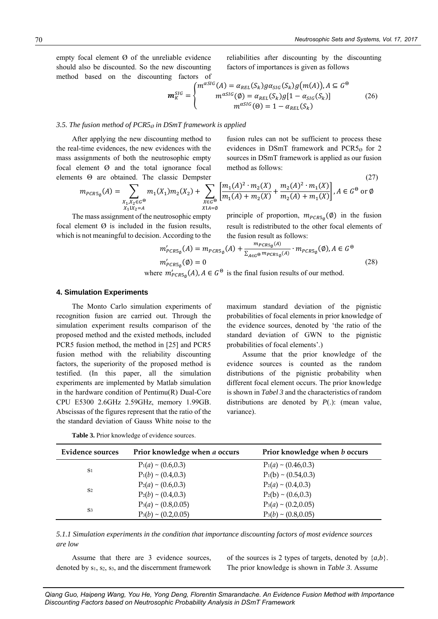(27)

empty focal element Ø of the unreliable evidence should also be discounted. So the new discounting method based on the discounting factors of reliabilities after discounting by the discounting factors of importances is given as follows

$$
\mathbf{m}_{K}^{SIG} = \begin{cases} m^{\alpha SIG}(A) = \alpha_{REL}(S_k) g \alpha_{SIG}(S_k) g(m(A)), A \subseteq G^{\Theta} \\ m^{\alpha SIG}(\emptyset) = \alpha_{REL}(S_k) g[1 - \alpha_{SIG}(S_k)] \\ m^{\alpha SIG}(\Theta) = 1 - \alpha_{REL}(S_k) \end{cases}
$$
(26)

#### *3.5. The fusion method of PCR5<sup>Ø</sup> in DSmT framework is applied*

After applying the new discounting method to the real-time evidences, the new evidences with the mass assignments of both the neutrosophic empty focal element Ø and the total ignorance focal elements Θ are obtained. The classic Dempster

fusion rules can not be sufficient to process these evidences in DSmT framework and PCR5 $_{0}$  for 2 sources in DSmT framework is applied as our fusion method as follows:

$$
m_{PCR5_{\emptyset}}(A) = \sum_{\substack{X_1, X_2 \in G^{\Theta} \\ X_1 \mid X_2 = A}} m_1(X_1) m_2(X_2) + \sum_{\substack{X \in G^{\Theta} \\ X \mid A = \emptyset}} \left[ \frac{m_1(A)^2 \cdot m_2(X)}{m_1(A) + m_2(X)} + \frac{m_2(A)^2 \cdot m_1(X)}{m_2(A) + m_1(X)} \right], A \in G^{\Theta} \text{ or } \emptyset
$$

The mass assignment of the neutrosophic empty focal element  $\emptyset$  is included in the fusion results, which is not meaningful to decision. According to the

principle of proportion,  $m_{PCR5\phi}(\phi)$  in the fusion result is redistributed to the other focal elements of the fusion result as follows:

$$
m'_{PCRS_{\emptyset}}(A) = m_{PCRS_{\emptyset}}(A) + \frac{m_{PCRS_{\emptyset}}(A)}{\sum_{A \in G^{\Theta}} m_{PCRS_{\emptyset}}(A)} \cdot m_{PCRS_{\emptyset}}(\emptyset), A \in G^{\Theta}
$$
  

$$
m'_{PCRS_{\emptyset}}(\emptyset) = 0
$$
 (28)

where  $m'_{PCRS_{\emptyset}}(A), A \in G^{\Theta}$  is the final fusion results of our method.

#### **4. Simulation Experiments**

The Monto Carlo simulation experiments of recognition fusion are carried out. Through the simulation experiment results comparison of the proposed method and the existed methods, included PCR5 fusion method, the method in [25] and PCR5 fusion method with the reliability discounting factors, the superiority of the proposed method is testified. (In this paper, all the simulation experiments are implemented by Matlab simulation in the hardware condition of Pentimu(R) Dual-Core CPU E5300 2.6GHz 2.59GHz, memory 1.99GB. Abscissas of the figures represent that the ratio of the the standard deviation of Gauss White noise to the

maximum standard deviation of the pignistic probabilities of focal elements in prior knowledge of the evidence sources, denoted by 'the ratio of the standard deviation of GWN to the pignistic probabilities of focal elements'.)

Assume that the prior knowledge of the evidence sources is counted as the random distributions of the pignistic probability when different focal element occurs. The prior knowledge is shown in *Tabel 3* and the characteristics of random distributions are denoted by *P*(.): (mean value, variance).

| Prior knowledge when a occurs<br>Evidence sources |                           | Prior knowledge when b occurs |  |
|---------------------------------------------------|---------------------------|-------------------------------|--|
|                                                   | $P_1(a) \sim (0.6, 0.3)$  | $P_1(a) \sim (0.46, 0.3)$     |  |
| S <sub>1</sub>                                    | $P_1(b) \sim (0.4, 0.3)$  | $P_1(b) \sim (0.54, 0.3)$     |  |
|                                                   | $P_2(a) \sim (0.6, 0.3)$  | $P_2(a) \sim (0.4, 0.3)$      |  |
| S <sub>2</sub>                                    | $P_2(b) \sim (0.4, 0.3)$  | $P_2(b) \sim (0.6, 0.3)$      |  |
|                                                   | $P_3(a) \sim (0.8, 0.05)$ | $P_3(a) \sim (0.2, 0.05)$     |  |
| S <sub>3</sub>                                    | $P_3(b) \sim (0.2, 0.05)$ | $P_3(b) \sim (0.8, 0.05)$     |  |

**Table 3.** Prior knowledge of evidence sources.

*5.1.1 Simulation experiments in the condition that importance discounting factors of most evidence sources are low*

Assume that there are 3 evidence sources, denoted by  $s_1$ ,  $s_2$ ,  $s_3$ , and the discernment framework of the sources is 2 types of targets, denoted by {*a,b*}. The prior knowledge is shown in *Table 3*. Assume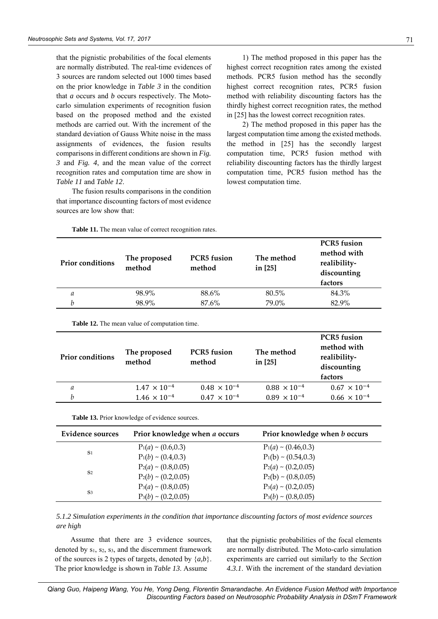that the pignistic probabilities of the focal elements are normally distributed. The real-time evidences of 3 sources are random selected out 1000 times based on the prior knowledge in *Table 3* in the condition that *a* occurs and *b* occurs respectively. The Motocarlo simulation experiments of recognition fusion based on the proposed method and the existed methods are carried out. With the increment of the standard deviation of Gauss White noise in the mass assignments of evidences, the fusion results comparisons in different conditions are shown in *Fig. 3* and *Fig. 4*, and the mean value of the correct recognition rates and computation time are show in *Table 11* and *Table 12*.

The fusion results comparisons in the condition that importance discounting factors of most evidence sources are low show that:

1) The method proposed in this paper has the highest correct recognition rates among the existed methods. PCR5 fusion method has the secondly highest correct recognition rates, PCR5 fusion method with reliability discounting factors has the thirdly highest correct recognition rates, the method in [25] has the lowest correct recognition rates.

2) The method proposed in this paper has the largest computation time among the existed methods. the method in [25] has the secondly largest computation time, PCR5 fusion method with reliability discounting factors has the thirdly largest computation time, PCR5 fusion method has the lowest computation time.

| <b>Prior conditions</b> | The proposed<br>method | <b>PCR5</b> fusion<br>method | The method<br>in [25] | <b>PCR5</b> fusion<br>method with<br>realibility-<br>discounting<br>factors |
|-------------------------|------------------------|------------------------------|-----------------------|-----------------------------------------------------------------------------|
| a                       | 98.9%                  | 88.6%                        | 80.5%                 | 84.3%                                                                       |
| h                       | 98.9%                  | 87.6%                        | 79.0%                 | 82.9%                                                                       |

**Table 11.** The mean value of correct recognition rates.

**Table 12.** The mean value of computation time.

| <b>Prior conditions</b> | The proposed<br>method | <b>PCR5</b> fusion<br>method | The method<br>in [25] | <b>PCR5</b> fusion<br>method with<br>realibility-<br>discounting<br>factors |
|-------------------------|------------------------|------------------------------|-----------------------|-----------------------------------------------------------------------------|
| a                       | $1.47 \times 10^{-4}$  | $0.48 \times 10^{-4}$        | $0.88 \times 10^{-4}$ | $0.67 \times 10^{-4}$                                                       |
| h                       | $1.46 \times 10^{-4}$  | $0.47 \times 10^{-4}$        | $0.89 \times 10^{-4}$ | $0.66 \times 10^{-4}$                                                       |
|                         |                        |                              |                       |                                                                             |

| Prior knowledge when a occurs<br>Evidence sources |                           | Prior knowledge when <i>b</i> occurs |  |  |
|---------------------------------------------------|---------------------------|--------------------------------------|--|--|
|                                                   | $P_1(a) \sim (0.6, 0.3)$  | $P_1(a) \sim (0.46, 0.3)$            |  |  |
| S <sub>1</sub>                                    | $P_1(b) \sim (0.4, 0.3)$  | $P_1(b) \sim (0.54, 0.3)$            |  |  |
| S <sub>2</sub>                                    | $P_2(a) \sim (0.8, 0.05)$ | $P_2(a) \sim (0.2, 0.05)$            |  |  |
|                                                   | $P_2(b) \sim (0.2, 0.05)$ | $P_2(b) \sim (0.8, 0.05)$            |  |  |
|                                                   | $P_3(a) \sim (0.8, 0.05)$ | $P_3(a) \sim (0.2, 0.05)$            |  |  |
| S <sub>3</sub>                                    | $P_3(b) \sim (0.2, 0.05)$ | $P_3(b) \sim (0.8, 0.05)$            |  |  |

**Table 13.** Prior knowledge of evidence sources.

*5.1.2 Simulation experiments in the condition that importance discounting factors of most evidence sources are high*

Assume that there are 3 evidence sources, denoted by  $s_1$ ,  $s_2$ ,  $s_3$ , and the discernment framework of the sources is 2 types of targets, denoted by {*a,b*}. The prior knowledge is shown in *Table 13*. Assume

that the pignistic probabilities of the focal elements are normally distributed. The Moto-carlo simulation experiments are carried out similarly to the *Section 4.3.1*. With the increment of the standard deviation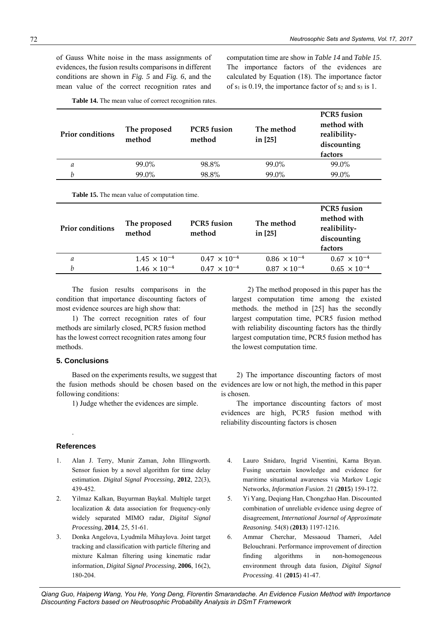of Gauss White noise in the mass assignments of evidences, the fusion results comparisons in different conditions are shown in *Fig. 5* and *Fig. 6*, and the mean value of the correct recognition rates and computation time are show in *Table 14* and *Table 15*. The importance factors of the evidences are calculated by Equation (18). The importance factor of  $s_1$  is 0.19, the importance factor of  $s_2$  and  $s_3$  is 1.

| <b>Prior conditions</b> | The proposed<br>method | <b>PCR5</b> fusion<br>method | The method<br>in [25] | <b>PCR5</b> fusion<br>method with<br>realibility-<br>discounting<br>factors |
|-------------------------|------------------------|------------------------------|-----------------------|-----------------------------------------------------------------------------|
| a                       | 99.0%                  | 98.8%                        | 99.0%                 | 99.0%                                                                       |
| h                       | 99.0%                  | 98.8%                        | 99.0%                 | 99.0%                                                                       |
|                         |                        |                              |                       |                                                                             |

**Table 14.** The mean value of correct recognition rates.

**Table 15.** The mean value of computation time.

| <b>Prior conditions</b> | The proposed<br>method | <b>PCR5</b> fusion<br>method | The method<br>in [25] | <b>PCR5</b> fusion<br>method with<br>realibility-<br>discounting<br>factors |
|-------------------------|------------------------|------------------------------|-----------------------|-----------------------------------------------------------------------------|
| а                       | $1.45 \times 10^{-4}$  | $0.47 \times 10^{-4}$        | $0.86 \times 10^{-4}$ | $0.67 \times 10^{-4}$                                                       |
| h                       | $1.46 \times 10^{-4}$  | $0.47 \times 10^{-4}$        | $0.87 \times 10^{-4}$ | $0.65 \times 10^{-4}$                                                       |

The fusion results comparisons in the condition that importance discounting factors of most evidence sources are high show that:

1) The correct recognition rates of four methods are similarly closed, PCR5 fusion method has the lowest correct recognition rates among four methods.

#### **5. Conclusions**

Based on the experiments results, we suggest that the fusion methods should be chosen based on the evidences are low or not high, the method in this paper following conditions:

1) Judge whether the evidences are simple.

#### **References**

.

- 1. Alan J. Terry, Munir Zaman, John Illingworth. Sensor fusion by a novel algorithm for time delay estimation. *Digital Signal Processing*, **2012**, 22(3), 439-452.
- 2. Yilmaz Kalkan, Buyurman Baykal. Multiple target localization & data association for frequency-only widely separated MIMO radar, *Digital Signal Processing*, **2014**, 25, 51-61.
- 3. Donka Angelova, Lyudmila Mihaylova. Joint target tracking and classification with particle filtering and mixture Kalman filtering using kinematic radar information, *Digital Signal Processing*, **2006**, 16(2), 180-204.

2) The method proposed in this paper has the largest computation time among the existed methods. the method in [25] has the secondly largest computation time, PCR5 fusion method with reliability discounting factors has the thirdly largest computation time, PCR5 fusion method has the lowest computation time.

2) The importance discounting factors of most is chosen.

The importance discounting factors of most evidences are high, PCR5 fusion method with reliability discounting factors is chosen

- 4. Lauro Snidaro, Ingrid Visentini, Karna Bryan. Fusing uncertain knowledge and evidence for maritime situational awareness via Markov Logic Networks, *Information Fusion*. 21 (**2015**) 159-172.
- 5. Yi Yang, Deqiang Han, Chongzhao Han. Discounted combination of unreliable evidence using degree of disagreement, *International Journal of Approximate Reasoning*. 54(8) (**2013**) 1197-1216.
- 6. Ammar Cherchar, Messaoud Thameri, Adel Belouchrani. Performance improvement of direction finding algorithms in non-homogeneous environment through data fusion, *Digital Signal Processing*. 41 (**2015**) 41-47.